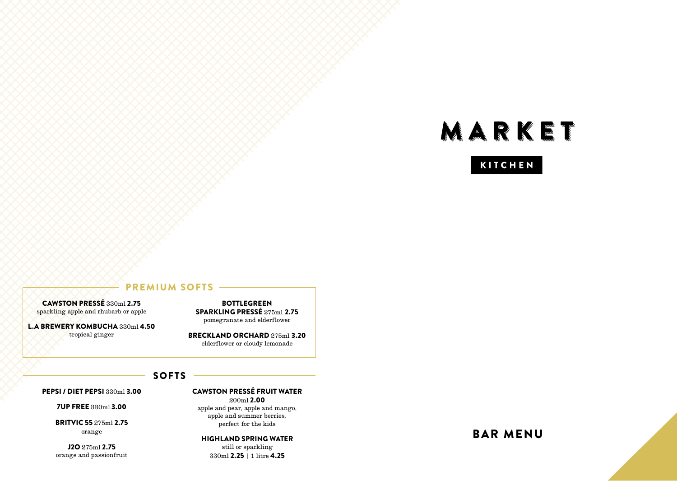# MARKET

## **KITCHEN**

## PREMIUM SOFTS

CAWSTON PRESSÉ 330ml 2.75 sparkling apple and rhubarb or apple

L.A BREWERY KOMBUCHA 330ml 4.50 tropical ginger

BOTTLEGREEN SPARKLING PRESSÉ 275ml 2.75 pomegranate and elderflower

BRECKLAND ORCHARD 275ml 3.20 elderflower or cloudy lemonade

## SOFTS

PEPSI / DIET PEPSI 330ml 3.00

7UP FREE 330ml 3.00

BRITVIC 55 275ml 2.75 orange

J2O 275ml 2.75 orange and passionfruit CAWSTON PRESSÉ FRUIT WATER 200ml 2.00 apple and pear, apple and mango,

apple and summer berries. perfect for the kids

HIGHLAND SPRING WATER still or sparkling 330ml 2.25 | 1 litre 4.25

BAR MENU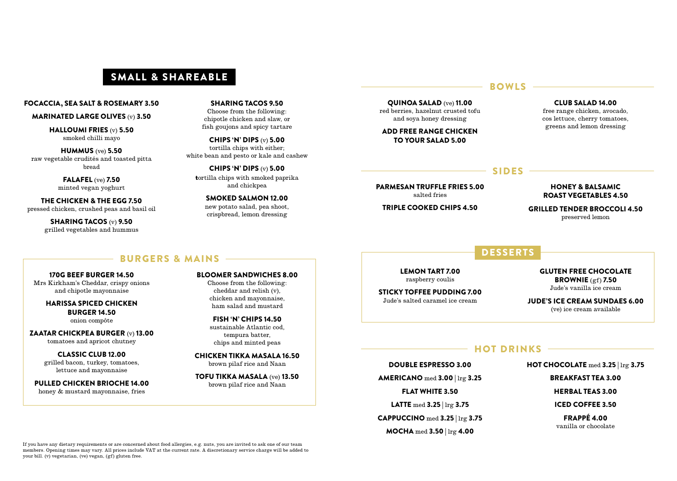## SMALL & SHAREABLE

#### FOCACCIA, SEA SALT & ROSEMARY 3.50

#### MARINATED LARGE OLIVES (v) 3.50

HALLOUMI FRIES (v) 5.50 smoked chilli mayo

HUMMUS (ve) 5.50 raw vegetable crudités and toasted pitta bread

> FALAFEL (ve) 7.50 minted vegan yoghurt

THE CHICKEN & THE EGG 7.50 pressed chicken, crushed peas and basil oil

> SHARING TACOS (v) 9.50 grilled vegetables and hummus

#### SHARING TACOS 9.50 Choose from the following: chipotle chicken and slaw, or fish goujons and spicy tartare

CHIPS 'N' DIPS (v) 5.00 tortilla chips with either; white bean and pesto or kale and cashew

CHIPS 'N' DIPS (v) 5.00 tortilla chips with smoked paprika and chickpea

> SMOKED SALMON 12.00 new potato salad, pea shoot, crispbread, lemon dressing

#### $-$  BOWLS  $-$

QUINOA SALAD (ve) 11.00 red berries, hazelnut crusted tofu and soya honey dressing

ADD FREE RANGE CHICKEN TO YOUR SALAD 5.00

#### CLUB SALAD 14.00

free range chicken, avocado, cos lettuce, cherry tomatoes, greens and lemon dressing

#### SIDES ————

PARMESAN TRUFFLE FRIES 5.00 salted fries

TRIPLE COOKED CHIPS 4.50

#### HONEY & BALSAMIC ROAST VEGETABLES 4.50

GRILLED TENDER BROCCOLI 4.50 preserved lemon

#### DESSERTS

LEMON TART 7.00 raspberry coulis

STICKY TOFFEE PUDDING 7.00 Jude's salted caramel ice cream

GLUTEN FREE CHOCOLATE BROWNIE (gf) 7.50 Jude's vanilla ice cream

JUDE'S ICE CREAM SUNDAES 6.00 (ve) ice cream available

#### $-$  HOT DRINKS  $-$

HOT CHOCOLATE med 3.25 | lrg 3.75

BREAKFAST TEA 3.00

HERBAL TEAS 3.00

ICED COFFEE 3.50

FRAPPÉ 4.00 vanilla or chocolate

#### BURGERS & MAINS

170G BEEF BURGER 14.50 Mrs Kirkham's Cheddar, crispy onions

and chipotle mayonnaise

#### HARISSA SPICED CHICKEN BURGER 14.50

onion compôte

ZAATAR CHICKPEA BURGER (v) 13.00 tomatoes and apricot chutney

> CLASSIC CLUB 12.00 grilled bacon, turkey, tomatoes, lettuce and mayonnaise

PULLED CHICKEN BRIOCHE 14.00 honey & mustard mayonnaise, fries

BLOOMER SANDWICHES 8.00

Choose from the following: cheddar and relish (v), chicken and mayonnaise, ham salad and mustard

FISH 'N' CHIPS 14.50 sustainable Atlantic cod, tempura batter, chips and minted peas

CHICKEN TIKKA MASALA 16.50 brown pilaf rice and Naan

TOFU TIKKA MASALA (ve) 13.50 brown pilaf rice and Naan

DOUBLE ESPRESSO 3.00

AMERICANO med 3.00 | lrg 3.25

FLAT WHITE 3.50

LATTE med 3.25 | lrg 3.75

CAPPUCCINO med 3.25 | lrg 3.75

MOCHA med 3.50 | lrg 4.00

If you have any dietary requirements or are concerned about food allergies, e.g. nuts, you are invited to ask one of our team members. Opening times may vary. All prices include VAT at the current rate. A discretionary service charge will be added to your bill. (v) vegetarian, (ve) vegan, (gf) gluten free.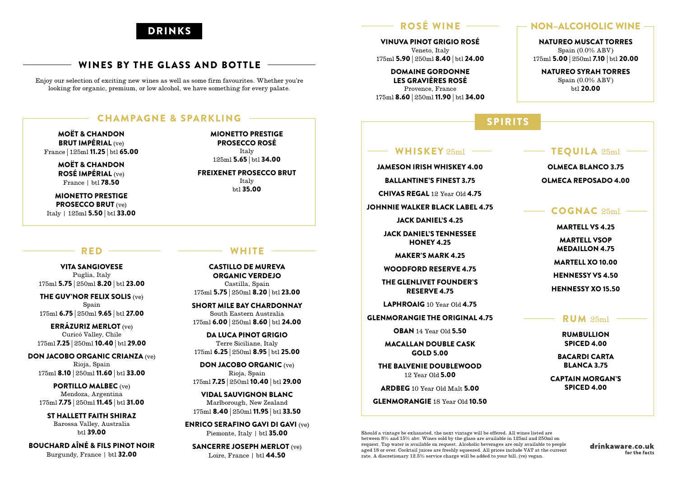## DRINKS

## WINES BY THE GLASS AND BOTTLE

Enjoy our selection of exciting new wines as well as some firm favourites. Whether you're looking for organic, premium, or low alcohol, we have something for every palate.

#### CHAMPAGNE & SPARKLING

MOËT & CHANDON BRUT IMPÉRIAL (ve) France | 125ml 11.25 | btl 65.00

> MOËT & CHANDON ROSÉ IMPÉRIAL (ve) France | btl 78.50

MIONETTO PRESTIGE PROSECCO BRUT (ve) Italy | 125ml 5.50 | btl 33.00

#### $RED -$

VITA SANGIOVESE Puglia, Italy 175ml 5.75 | 250ml 8.20 | btl 23.00

THE GUV'NOR FELIX SOLIS (ve) Spain 175ml 6.75 | 250ml 9.65 | btl 27.00

ERRÁZURIZ MERLOT (ve) Curicó Valley, Chile 175ml 7.25 | 250ml 10.40 | btl 29.00

DON JACOBO ORGANIC CRIANZA (ve) Rioja, Spain 175ml 8.10 | 250ml 11.60 | btl 33.00

PORTILLO MALBEC (ve) Mendoza, Argentina 175ml 7.75 | 250ml 11.45 | btl 31.00

ST HALLETT FAITH SHIRAZ Barossa Valley, Australia  $h+1$  39.00

BOUCHARD AÎNÉ & FILS PINOT NOIR Burgundy, France | btl 32.00

#### FREIXENET PROSECCO BRUT Italy btl 35.00

MIONETTO PRESTIGE PROSECCO ROSÉ Italy 125ml 5.65 | btl 34.00

### **WHITE**

CASTILLO DE MUREVA ORGANIC VERDEJO Castilla, Spain 175ml 5.75 | 250ml 8.20 | btl 23.00

SHORT MILE BAY CHARDONNAY South Eastern Australia 175ml 6.00 | 250ml 8.60 | btl 24.00

DA LUCA PINOT GRIGIO Terre Siciliane, Italy 175ml 6.25 | 250ml 8.95 | btl 25.00

DON JACOBO ORGANIC (ve) Rioja, Spain 175ml 7.25 | 250ml 10.40 | btl 29.00

VIDAL SAUVIGNON BLANC Marlborough, New Zealand 175ml 8.40 | 250ml 11.95 | btl 33.50

ENRICO SERAFINO GAVI DI GAVI (ve) Piemonte, Italy | btl 35.00

SANCERRE JOSEPH MERLOT (ve) Loire, France | btl **44.50** 

## ROSÉ WINE

VINUVA PINOT GRIGIO ROSÉ Veneto, Italy 175ml 5.90 | 250ml 8.40 | btl 24.00

DOMAINE GORDONNE LES GRAVIÈRES ROSÉ Provence, France 175ml 8.60 | 250ml 11.90 | btl 34.00

## SPIRITS

#### WHISKEY 25ml

JAMESON IRISH WHISKEY 4.00

BALLANTINE'S FINEST 3.75

CHIVAS REGAL 12 Year Old 4.75

JOHNNIE WALKER BLACK LABEL 4.75

JACK DANIEL'S 4.25

JACK DANIEL'S TENNESSEE HONEY 4.25

MAKER'S MARK 4.25

WOODFORD RESERVE 4.75

THE GLENLIVET FOUNDER'S RESERVE 4.75

LAPHROAIG 10 Year Old 4.75

GLENMORANGIE THE ORIGINAL 4.75

OBAN 14 Year Old 5.50

MACALLAN DOUBLE CASK GOLD 5.00

THE BALVENIE DOUBLEWOOD 12 Year Old 5.00

ARDBEG 10 Year Old Malt 5.00

GLENMORANGIE 18 Year Old 10.50

Should a vintage be exhausted, the next vintage will be offered. All wines listed are between 8% and 15% abv. Wines sold by the glass are available in 125ml and 250ml on request. Tap water is available on request. Alcoholic beverages are only available to people aged 18 or over. Cocktail juices are freshly squeezed. All prices include VAT at the current rate. A discretionary 12.5% service charge will be added to your bill. (ve) vegan.

drinkaware.co.uk for the facts

## - NON-ALCOHOLIC WINE -

NATUREO MUSCAT TORRES Spain (0.0% ABV) 175ml 5.00 | 250ml 7.10 | btl 20.00

NATUREO SYRAH TORRES Spain (0.0% ABV) btl 20.00

## TEQUILA 25ml

OLMECA BLANCO 3.75 OLMECA REPOSADO 4.00

#### COGNAC 25ml

MARTELL VS 4.25

MARTELL VSOP MEDAILLON 4.75

MARTELL XO 10.00

HENNESSY VS 4.50

HENNESSY XO 15.50

#### RUM 25ml

RUMBULLION SPICED 4.00

BACARDI CARTA BLANCA 3.75

CAPTAIN MORGAN'S SPICED 4.00